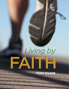# Living by EAITE

# **TONY EVANS**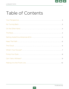

# Table of Contents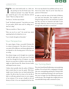

Two men stood side-by-side on a dock one-<br>day peering out into the broad ocean. One<br>looked out and said, "I see a ship!" The other<br>guy turned his gaze in the same direction and deday peering out into the broad ocean. One looked out and said, "I see a ship!" The other clared, "There's no ship out there."

"Yes there is," the first man insisted.

"Look," his friend countered, "I just had an eye exam. I've got perfect 20/20 vision and I'm telling you, I don't see a ship."

"Take my word for it. There is a ship."

"How can you be so sure?" the second man asked, squinting hard as he looked out to sea.

"I see it clearly through my binoculars."

## Your Perspective

To a great degree, living a successful Christian life is a matter of perspective. The clarity of your vision can make all the difference and sharp-sightedness often depends on the focusing power of the lens you are using.

Even distant images can be brought into crystal clarity with the right optics. In the same way, if we look at our lives through the lens of Scripture, we might discover an ocean liner we failed to notice earlier. We might see death become life, disease become health, and despair become victory.

I believe that's partially what the author of Hebrews had in mind when he wrote his epistle. With three simple verses, he places into our hands spiritual binoculars. He tells us that if we learn to live the life of faith, we will enjoy spiritual victory in every category of our existence. If we can get a handle on the sufficiency of God—if we can comprehend the fact that

He is one step ahead of our problems and way out in front of our needs—then we can be "more than conquerors in Christ Jesus."

In order to catch the vision of the book of Hebrews, you need your binoculars. Your unaided eyes can't bring the image into focus. You need lenses so potent that they can focus on tomorrow and make it seem like today. Otherwise, there's no way you can navigate through today and make it to tomorrow!



# No Turning Back

The writer found himself addressing a most perplexing problem. He was faced with a congregation of people who were contemplating quitting the Christian faith. They were considering throwing in the towel because they were no longer sure that following the path was worth the pain. They thought that it might just be too uncomfortable being totally committed to Jesus.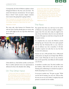

Consequently, the book of Hebrews explains to these beleaguered believers why they can't turn back. "No matter how bad your circumstances," the text argues, "Jesus is better!" Each successive chapter examines more reasons why going back is going nowhere.

*"For if we go on sinning willfully after receiving the knowledge of the truth, there no longer remains a sacrifice for sins."* 

#### *Hebrews 10:26*

The writer asks, what business do Christians have with sin? Since God has already given us victory, why are we still caught in the very trap from which Jesus died to free us?



Christ died for us, what further sacrifice can there be? There is neither spiritual victory nor supernatural enablement for those who abandon their calling.

#### On The Other Hand

*"...Since we have so great a cloud of witnesses surrounding us, let us also lay aside every encumbrance, and the sin which so easily entangles us, and let us run with endur-*

*ance the race that is set before us, fixing our eyes on Jesus, the author and perfecter of faith, who for the joy set before Him endured the cross, despising the shame, and has sat down at the right hand of the throne of God."*

*Hebrews 12:1-2*

#### The Race

The apostle Paul (who very well may be the author of Hebrews) was always fond of athletic analogies. I suspect that if he were alive today, he might be the type of man who believes that the news and editorial sections of the paper are only there to keep the rain off the sports section.

It is implied that one reason the Hebrews considered giving up is because they never quite grasped the fact that the Christian life is a race. And not just an ordinary race, but a marathon. A 26-mile marathon requires not only that we run, but that we run with endurance.

Anyone can run a 100-yard dash. Even a 300-pound couch potato can slog his out-of shape body 300 feet down a track. Obviously, he won't set any records-at least, not for speed. But, most likely, he will eventually cross the line.

A marathon is another story. You don't swallow your last bonbon, climb off the sofa, and hit the track. Training and conditioning are essential if you plan to finish-and perhaps even to survive.

Let me put it another way. "No pain, no gain." Without the trial of training, you can't run. Trials are like the iron you use on your clothes. It employs heat and pressure to smooth out the wrinkles.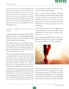

Too many of us want to be used by God without the inconvenience of being tested by God. We want the Lord to do great things for us, not to us. It doesn't work that way. There are no shortcuts in the race of faith. We can't be like the young lady who crossed the finish line of the Boston marathon well ahead of the others... because she covered half the distance on the subway. She was, of course, disqualified. Don't let the same happen to you.

#### Setting Aside Encumbrances & Sin

I remember watching the pageantry with which they kicked off the most recent Olympic games. Athletes from the participating countries paraded by wearing colorful costumes and carrying flags.

When competition time came around, there was a noticeable change in wardrobe. Those jackets had been left elsewhere. Trousers were replaced with shorts. The flags had been rolled up and stored. Why? Because costumes and props don't win races.

Have you inventoried the three-piece suits, fancy dresses and expensive jewelry in your church lately? Don't misunderstand there's nothing wrong with looking nice. Sunday morning is a lot like the Olympic kickoff ceremony. But how about Monday? Are we willing to strip down to our running clothes and get down to business? Are we willing to remove the encumbrances?

An encumbrance is anything that holds you back from moving at maximum speed. Some of us have human encumbrances in our lives; we are hanging out with the wrong people. Some of us have the encumbrance of the past. Old hurts or habits keep us paralyzed, and prevent us from moving forward in our faith. Some are encumbered by television or other forms of entertainment. We'd rather play than pray.

There's a simple scriptural prescription for dealing with encumbrances: lay them aside. The Bible doesn't say, "pray about them" or "get together with some friends and study them." We must, by an act of our will, choose to be a finely honed tool in the Master's hand and then take the steps necessary to move in that direction.

Let me call your attention to a very telling point of scripture that many of us tend to overlook. Notice that Hebrews 12:1 refers to many encumbrances, but only one sin. *"Set aside the sin..."*

Everyone reading this booklet has only one sin. Anything else that's wrong with your life can be brought back to the sin. In fact, it's the same sin–unbelief.



It's like the college student who decided to do his own laundry for the first time. He gathered all his soiled clothes and bound them up in a bed sheet. Since the whole load needed washing, he threw the entire bundle into the machine, dumped in some soap and pushed the start button. Later, when he pulled the clothes out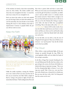of the machine; he found a clean sheet surrounding some wet, dirty clothes. The clothes couldn't come clean; they were entangled in the sheet—in much the same way as many of us are entangled in sin.

Don't you know that unless you deal with unbelief, you can't fix lying? Unless you deal with unbelief, you can't fix immorality. You must decide to trust God by obeying His word. It is that obedience that leads to empowerment. Contrary to popular belief, the process will not work in reverse.

## Keep the Faith



*"And without faith it is impossible to please Him, for he who comes to God must believe that He is, and that He is a rewarder of those who seek Him."* 

#### *Hebrews 11:6*

Unlike the earthly marathons, running the Christian race is not a matter of how you move your feet, but of how you are moved by your faith. Faith is simply defined as "acting in the present in light of God's statements about the future." Faith is taking God at His word.

Now there is passive faith and there is active faith. When you were saved, you exercised passive faith. You received the gift of God that is eternal life, you didn't cause it and you didn't create it—it already existed. You merely received it. Passive faith is enough to deliver you from hell and into heaven, but it will not enable you to live the Christian life. Doing so requires active faith—the kind of faith that accomplished something. That is why James tells us that *"faith without works is dead."* (James 2:20) In other words, if you want the faith that made heaven your home to come down and bless you where you live and breathe today, yours must be a faith that blends belief with obedience and action.

It is by this faith, our text tells us, that the men of old gained God's approval. These men of faith are our witnesses—our "proof positive" that the life of faith can be lived successfully.

#### The Cloud

Often, before a major professional fight, all the past champs are paraded through the ring. While the crowd applauds wildly, each one shakes the hands of the evening's contenders.

As the likes of Sugar Ray Leonard, Smoking Joe Frazier and Muhammad Ali offer their best wishes to the guys sitting in the corners, the former title holders are silently delivering an important message, "This is not the first championship fight in history. I sat in this ring once myself. Take it from me—you may leave here with a bloody nose, a bruised rib or a broken jaw. But you may also leave with a belt. I'm living proof that this contest can be won."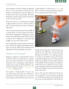

Like the Hebrews to whom this epistle was addressed, some of us have been beaten and bruised—if not literally, at least figuratively. Some have spoken out for Christ only to have our jaws broken. We've been bloodied in our battle with the world. It's only natural to ask, "Can this war be won?"

The answer, of course, is a resounding "yes!" provided we fight the fight, run the race, and live the life by faith. To back up this claim, the writer of Hebrews offers proof.

Have you heard your preacher pause in the middle of a sermon and ask, "Can I get a witness?" He wants to know that his congregation is backing him in prayer and that they understand his point. When you want to find out who is backing you in your day-to-day struggles, you may want a witness as well.

Our verse tells us that you have more than a witness. You have a cloud! There's a regular storm brewing out there! "God," you may ask, "Who are these witnesses you are talking about?" The answer depends on your need.

## What's Your Excuse?

Perhaps your problem is worship. Maybe your devotional life is stuck in the mud. Flip over to chapter eleven, verse three, where Abel's act of worship was honored by God—a development, which made his brother jealous enough to kill. But Abel had a testimony that could not be silenced. *"...Though he is dead, he still speaks."* (Hebrews 11:4)

Yours might be a health problem. "I'm sick," you say, "and my doctors haven't got a clue." Well, there's old Enoch in the crowd, saying, "I'm your witness!" Enoch walked so closely with God that he never tasted death. Hebrews 11:5 tells us he was *"taken up."* Ask Enoch—he'll tell you that deterioration and disease have no dominion when God is in charge.



"All right, but how long must I wait for God to come through for me?" Why look—isn't that Noah stepping up to the podium? "I'm a witness!" he shouts. "God told me it was going to rain. He didn't tell me it was going to take 120 years. All I knew is that He called me to be faithful." Everyone outside Noah's immediate family thought him insane. But though the people didn't listen, the giraffes did. And so did the camels and the goats and the lions and the butterflies. Noah and his family survived, and wound up inheriting the entire world.

You say, "But you don't understand, Tony. My situation is impossible." Let me respond by introducing you to Abraham and Sarah. He was pushing l00, and she was just a decade behind him. God told them it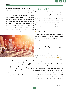

was time to start a family. Today, we call that family the nation of Israel. Don't talk to me about "impossible." I've got a witness from Abraham and Sarah.

You say you've been snared by temptation and have become wrapped up in worldliness? Let's have a word with Moses. Here was a man who was raised in the lap of luxury and was being groomed as the next Pharaoh of Egypt. But he chose to endure hardship with the people of God rather than to enjoy the pleasures of sin for a season. With his priorities in order, God used Moses to deliver an entire nation from slavery and lead them to the Promised Land.



Lest you ladies think we're leaning too far in man's direction, let's hear a word from Rahab the only person in Jericho to embrace the God of Israel. When the walls of Jericho tumbled and the city lay in ruins, just one house remained standing, and it wasn't the local Holiday Inn. But Rahab' s greatest testimony is found in Matthew, chapter one, where she shows up in the genealogy of Jesus. God took this woman and made her somebody.

## Fixing Your Eyes

Witnesses like the ones I've mentioned can be a great encouragement. All of these people were special, but they were still just people. Abraham was immoral. Moses disobeyed God when he killed the Egyptian, and later when he struck the stone with his staff. Rahab was a harlot. Each has a mark on his or her resume.

It is dangerous to become so intent on the illustrations that we miss the point they are intended to illustrate.

#### That's why our passage reminds us to *"fix our eyes upon Jesus…"* (Hebrews 12:2)

In driver training classes, instructors remind their students to "aim high." This is good advice. If you're staring at the road, trying to stay between the white lines just in front of your car, it's much harder to steer than if you look further ahead toward where you want to go. In life, we try too hard to steer between our circumstances. "Aim high," Jesus, says, keep your eyes on Him as you steer your way through life. That leaves no doubt about your destination, and tends to smooth out the road along the way.

Shall we talk about aiming high? Let's not forget that this Jesus, *"for the joy set before Him endured the cross…"* (Hebrews 12:2) Jesus knew about the cross, but He did not fixate on it. He didn't want to go, but He refused to let that fact paralyze Him. He had his sights set on Sunday morning!

It is as though He said, "On Friday, my head will be dripping with blood from the thorns they will drill into my skull. On Friday, I'm going to have a hole in my side and my bones are going to jump out of joint. On Friday, all of humanity will mock me and scorn me. On Friday, my Father will turn His back on me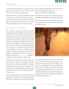

as I take the sin of the world on my shoulders. So I'd better not look at Friday. Let me take a long, hard look at the joy of Sunday morning instead."

Brothers and sisters, get your eyes off Friday. I know you're bearing a cross. But I also know you have a risen Savior sitting at the right hand of the Father. Keep your eyes on Jesus. Are you still not sure that will work? All right. Let's see if I can get a witness.

## Can I Get a Witness?

Peter, would you step up here and tell us whether looking at Jesus makes a difference? If the Apostle Peter were here, he would tell you about that day he walked on water. As long as he stared straight at Jesus, putting one foot in front of the other, he did just fine. But then he got distracted. Perhaps it was the storm or the waves. It could have been the shouts of the men back in the boat. Maybe he remembered something from a physics class that had to do with the density of water. Whatever it was, it was enough to change the story. He began to sink. Just as he was about to go under, he remembered to fix his eyes on Jesus. In Matthew 14:30 he cried, *"Lord, save me!"* Because Peter redirected his gaze, he lived to tell the story.

Stephen, will you testify about whether fixing your eyes on Jesus can sustain you? If Stephen were here, he would tell you that even though the Sanhedrin condemned him, he kept his eyes on Jesus. As the stones were fracturing his skull, he saw heaven open. As he looked at Jesus, he saw something more powerful than a rock!

The rest of the disciples can tell you about what looking at Jesus can do when you're crossing a stormy lake. While the waves threatened to swamp their small craft,

Jesus lay sleeping. Suspecting that they were about to die, they woke Jesus. All he said was *"Peace—be still"*  (Mark 4:39.) The storm ended. Period.

How about the ten lepers? They could tell you how their flesh was disintegrating, until they looked to Jesus.

But you don't have to look to the past for a testimony to the power of God. Ask your Christian friends, ask your pastor. Ask me!



I can remember when there was no food on my table. I can recall wondering how I could continue in the ministry. There were times when we didn't have the money to pay staff salaries at The Urban Alternative. In every case, we looked to Jesus. And, in every case, we found the strength and resources to carry on. I can testify that fixing our eyes on Jesus has brought us through every single time. He helped us make it, and He will help you make it, too.